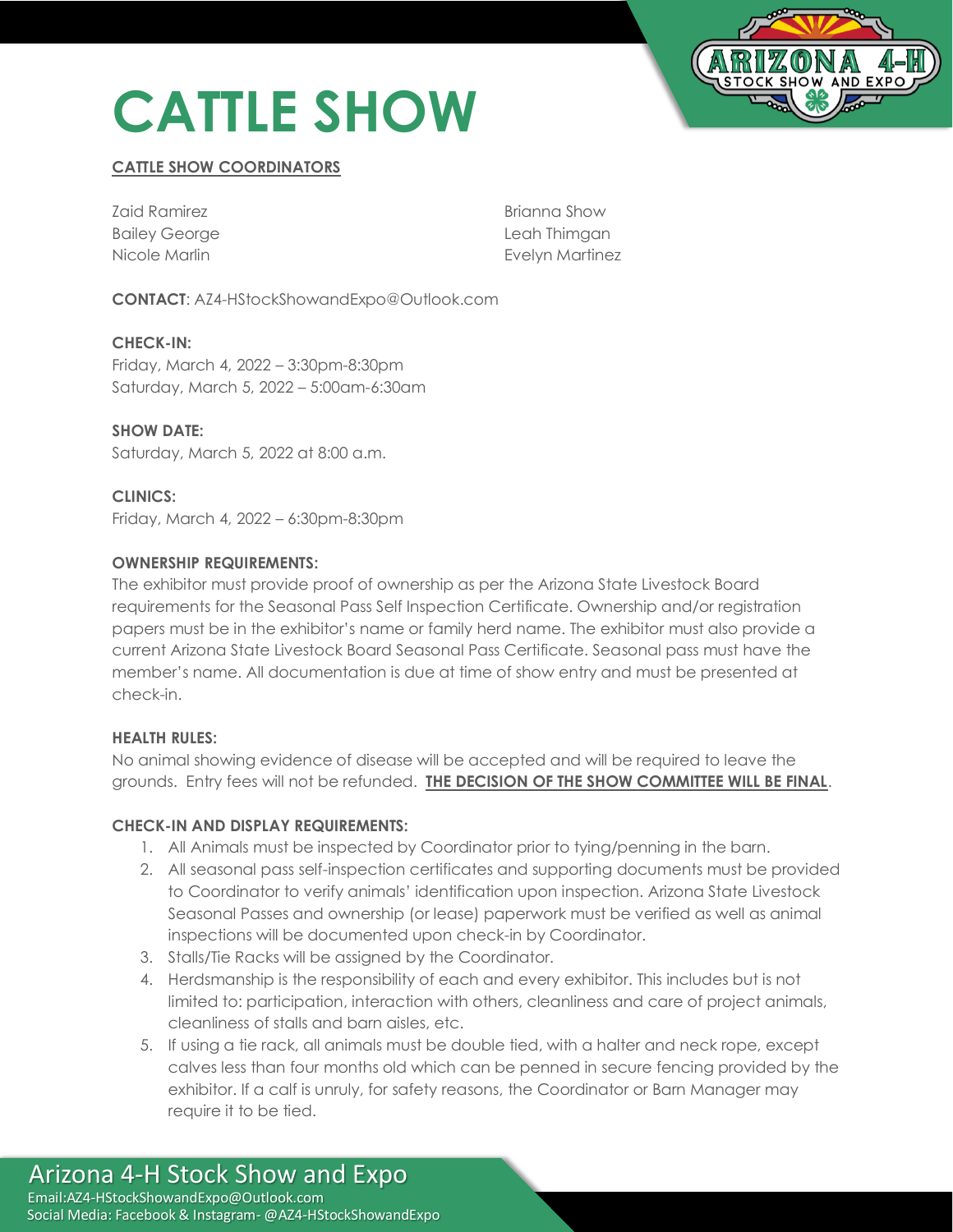# **CATTLE SHOW**



# **CATTLE SHOW COORDINATORS**

| Zaid Ramirez         | Brianna Show    |
|----------------------|-----------------|
| <b>Bailey George</b> | Leah Thimgan    |
| Nicole Marlin        | Evelyn Martinez |

**CONTACT**: AZ4-HStockShowandExpo@Outlook.com

**CHECK-IN:**  Friday, March 4, 2022 – 3:30pm-8:30pm Saturday, March 5, 2022 – 5:00am-6:30am

**SHOW DATE:**  Saturday, March 5, 2022 at 8:00 a.m.

**CLINICS:** Friday, March 4, 2022 – 6:30pm-8:30pm

#### **OWNERSHIP REQUIREMENTS:**

The exhibitor must provide proof of ownership as per the Arizona State Livestock Board requirements for the Seasonal Pass Self Inspection Certificate. Ownership and/or registration papers must be in the exhibitor's name or family herd name. The exhibitor must also provide a current Arizona State Livestock Board Seasonal Pass Certificate. Seasonal pass must have the member's name. All documentation is due at time of show entry and must be presented at check-in.

#### **HEALTH RULES:**

No animal showing evidence of disease will be accepted and will be required to leave the grounds. Entry fees will not be refunded. **THE DECISION OF THE SHOW COMMITTEE WILL BE FINAL**.

## **CHECK-IN AND DISPLAY REQUIREMENTS:**

- 1. All Animals must be inspected by Coordinator prior to tying/penning in the barn.
- 2. All seasonal pass self-inspection certificates and supporting documents must be provided to Coordinator to verify animals' identification upon inspection. Arizona State Livestock Seasonal Passes and ownership (or lease) paperwork must be verified as well as animal inspections will be documented upon check-in by Coordinator.
- 3. Stalls/Tie Racks will be assigned by the Coordinator.
- 4. Herdsmanship is the responsibility of each and every exhibitor. This includes but is not limited to: participation, interaction with others, cleanliness and care of project animals, cleanliness of stalls and barn aisles, etc.
- 5. If using a tie rack, all animals must be double tied, with a halter and neck rope, except calves less than four months old which can be penned in secure fencing provided by the exhibitor. If a calf is unruly, for safety reasons, the Coordinator or Barn Manager may require it to be tied.

## Arizona 4-H Stock Show and Expo Email:AZ4-HStockShowandExpo@Outlook.com Social Media: Facebook & Instagram- @AZ4-HStockShowandExpo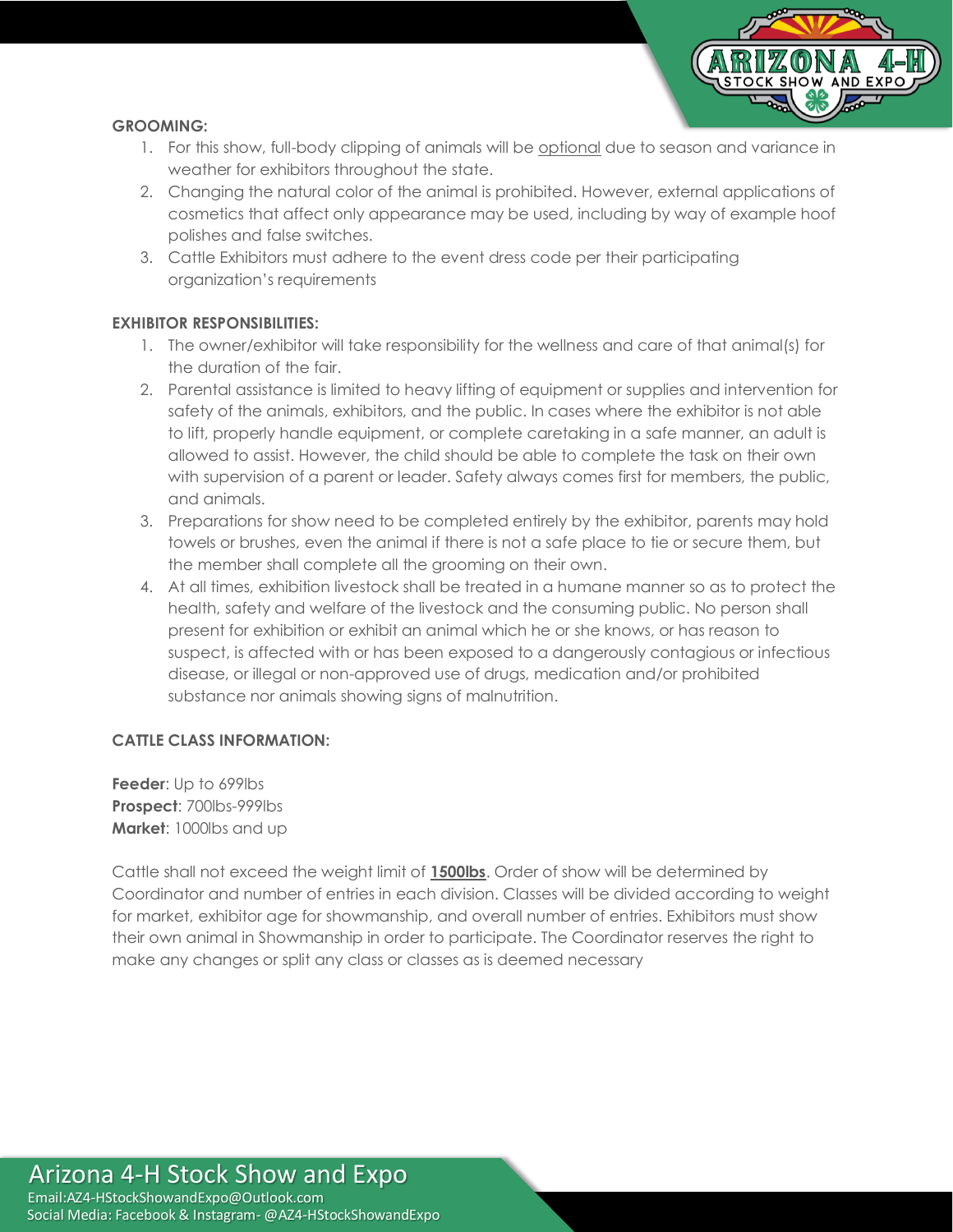

## **GROOMING:**

- 1. For this show, full-body clipping of animals will be optional due to season and variance in weather for exhibitors throughout the state.
- 2. Changing the natural color of the animal is prohibited. However, external applications of cosmetics that affect only appearance may be used, including by way of example hoof polishes and false switches.
- 3. Cattle Exhibitors must adhere to the event dress code per their participating organization's requirements

# **EXHIBITOR RESPONSIBILITIES:**

- 1. The owner/exhibitor will take responsibility for the wellness and care of that animal(s) for the duration of the fair.
- 2. Parental assistance is limited to heavy lifting of equipment or supplies and intervention for safety of the animals, exhibitors, and the public. In cases where the exhibitor is not able to lift, properly handle equipment, or complete caretaking in a safe manner, an adult is allowed to assist. However, the child should be able to complete the task on their own with supervision of a parent or leader. Safety always comes first for members, the public, and animals.
- 3. Preparations for show need to be completed entirely by the exhibitor, parents may hold towels or brushes, even the animal if there is not a safe place to tie or secure them, but the member shall complete all the grooming on their own.
- 4. At all times, exhibition livestock shall be treated in a humane manner so as to protect the health, safety and welfare of the livestock and the consuming public. No person shall present for exhibition or exhibit an animal which he or she knows, or has reason to suspect, is affected with or has been exposed to a dangerously contagious or infectious disease, or illegal or non-approved use of drugs, medication and/or prohibited substance nor animals showing signs of malnutrition.

## **CATTLE CLASS INFORMATION:**

**Feeder:** Up to 699lbs **Prospect**: 700lbs-999lbs **Market**: 1000lbs and up

Cattle shall not exceed the weight limit of **1500lbs**. Order of show will be determined by Coordinator and number of entries in each division. Classes will be divided according to weight for market, exhibitor age for showmanship, and overall number of entries. Exhibitors must show their own animal in Showmanship in order to participate. The Coordinator reserves the right to make any changes or split any class or classes as is deemed necessary